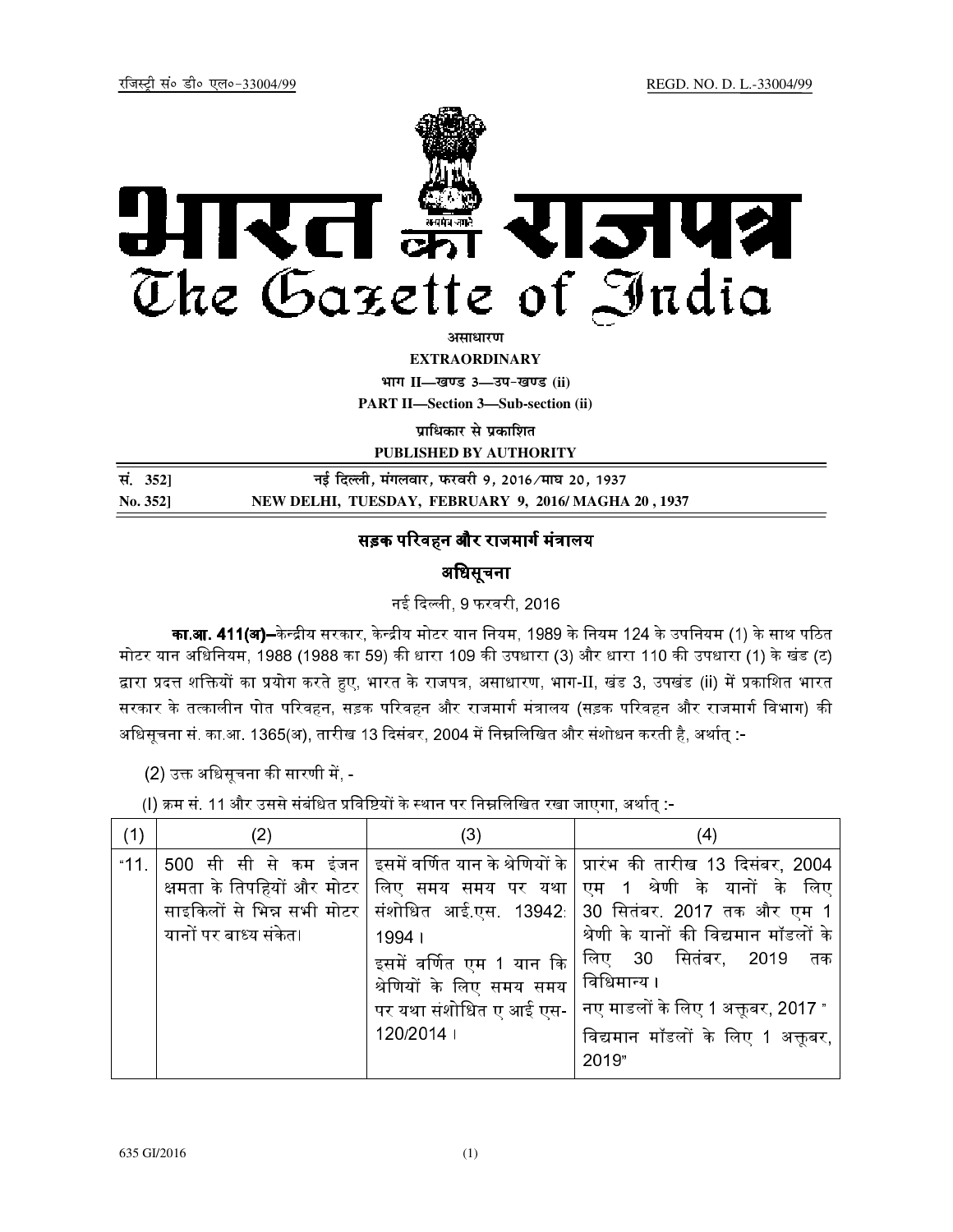

असाधारण

**EXTRAORDINARY**

**Hkkx II—[k.M 3—mi&[k.M (ii) PART II—Section 3—Sub-section (ii)** 

**प्राधिकार से प्रकाशित** 

**PUBLISHED BY AUTHORITY**

| सं. 352] | नई दिल्ली, मंगलवार, फरवरी 9, 2016 ∕माघ 20, 1937     |
|----------|-----------------------------------------------------|
| No. 352] | NEW DELHI, TUESDAY, FEBRUARY 9, 2016/MAGHA 20, 1937 |

## सड़क परिवहन और राजमार्ग मंत्रालय

## अधिसूचना

नई दिल्ली, 9 फरवरी, 2016

**का.आ. 411(अ)--**केन्द्रीय सरकार. केन्द्रीय मोटर यान नियम. 1989 के नियम 124 के उपनियम (1) के साथ पठित मोटर यान अधिनियम, 1988 (1988 का 59) की धारा 109 की उपधारा (3) और धारा 110 की उपधारा (1) के खंड (ट) द्वारा प्रदत्त शक्तियों का प्रयोग करते हुए, भारत के राजपत्र, असाधारण, भाग-II, खंड 3, उपखंड (ii) में प्रकाशित भारत सरकार के तत्कालीन पोत परिवहन. सड़क परिवहन और राजमार्ग मंत्रालय (सड़क परिवहन और राजमार्ग विभाग) की अधिसूचना सं. का.आ. 1365(अ), तारीख 13 दिसंबर, 2004 में निम्नलिखित और संशोधन करती है, अर्थात् :-

(2) उक्त अधिसूचना की सारणी में, -

l) क्रम सं. 11 और उससे संबंधित प्रविष्टियों के स्थान पर निम्नलिखित रखा जाएगा. अर्थात :-

| (1)  | (2)                   | (3)                                                                                                         | (4)                                                                                                                                                                                                                                                                                                                                                                                                                                                             |
|------|-----------------------|-------------------------------------------------------------------------------------------------------------|-----------------------------------------------------------------------------------------------------------------------------------------------------------------------------------------------------------------------------------------------------------------------------------------------------------------------------------------------------------------------------------------------------------------------------------------------------------------|
| "11. | यानों पर बाध्य संकेत। | 1994  <br>इसमें वर्णित एम 1 यान कि  <br>श्रेणियों के लिए समय समय  <br>पर यथा संशोधित ए आई एस-  <br>120/2014 | 500 सी सी से कम इंजन   इसमें वर्णित यान के श्रेणियों के   प्रारंभ की तारीख 13 दिसंबर, 2004<br>क्षमता के तिपहियों और मोटर तिए  समय  समय  पर  यथा $\vert$ एम   1   श्रेणी   के   यानों   के   लिए<br>साइकिलों से भिन्न सभी मोटर संशोधित  आई.एस.  13942   30  सितंबर.  2017  तक और  एम  1<br>श्रेणी के यानों की विद्यमान मॉडलों के<br> लिए 30 सितंबर, 2019 तक<br>  विधिमान्य ।<br>नए माडलों के लिए 1 अक्तूबर, 2017 "<br>विद्यमान मॉडलों के लिए 1 अक्तूबर,<br>2019" |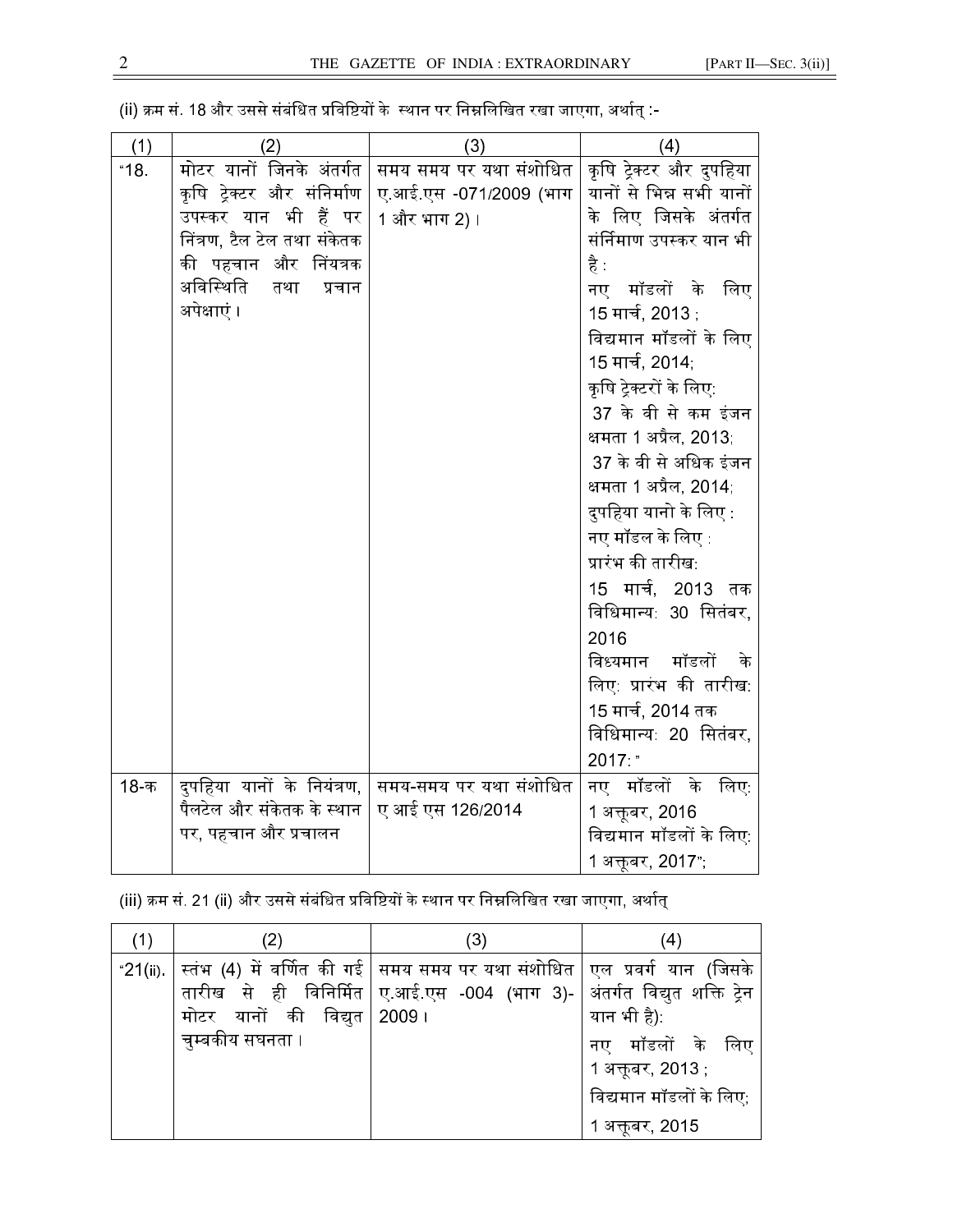| (1)  | (2)                         | (3)                    | (4)                      |
|------|-----------------------------|------------------------|--------------------------|
| "18. | मोटर यानों जिनके अंतर्गत    | समय समय पर यथा संशोधित | कृषि ट्रेक्टर और दुपहिया |
|      | कृषि ट्रेक्टर और संनिर्माण  | ए.आई.एस -071/2009 (भाग | यानों से भिन्न सभी यानों |
|      | उपस्कर यान भी<br>हैं पर     | 1 और भाग 2) ।          | के लिए जिसके अंतर्गत     |
|      | निंत्रण, टैल टेल तथा संकेतक |                        | संर्निमाण उपस्कर यान भी  |
|      | की पहचान और निंयत्रक        |                        | है :                     |
|      | अविस्थिति<br>तथा<br>प्रचान  |                        | नए मॉडलों के<br>लिए      |
|      | अपेक्षाएं ।                 |                        | 15 मार्च, 2013 :         |
|      |                             |                        | विद्यमान मॉडलों के लिए   |
|      |                             |                        | 15 मार्च, 2014,          |
|      |                             |                        | कृषि ट्रेक्टरों के लिए:  |
|      |                             |                        | 37 के वी से कम इंजन      |
|      |                             |                        | क्षमता 1 अप्रैल, 2013,   |
|      |                             |                        | 37 के वी से अधिक इंजन    |
|      |                             |                        | क्षमता 1 अप्रैल, 2014;   |
|      |                             |                        | दुपहिया यानो के लिए :    |
|      |                             |                        | नए मॉडल के लिए :         |
|      |                             |                        | प्रारंभ की तारीख:        |
|      |                             |                        | 15 मार्च, 2013 तक        |
|      |                             |                        | विधिमान्य: 30 सितंबर,    |
|      |                             |                        | 2016                     |
|      |                             |                        | मॉडलों<br>विध्यमान<br>के |
|      |                             |                        | लिए: प्रारंभ की तारीख:   |
|      |                             |                        | 15 मार्च, 2014 तक        |
|      |                             |                        | विधिमान्य: 20 सितंबर,    |
|      |                             |                        | 2017 "                   |
| 18-क | दुपहिया यानों के नियंत्रण,  | समय-समय पर यथा संशोधित | नए मॉडलों के<br>लिएः     |
|      | पैलटेल और संकेतक के स्थान   | ए आई एस 126/2014       | 1 अक्तूबर, 2016          |
|      | पर, पहचान और प्रचालन        |                        | विद्यमान मॉडलों के लिए:  |
|      |                             |                        | 1 अक्तूबर, 2017",        |

(ii) क्रम सं. 18 और उससे संबंधित प्रविष्टियों के स्थान पर निम्नलिखित रखा जाएगा. अर्थात :-

(iii) क्रम सं. 21 (ii) और उससे संबंधित प्रविष्टियों के स्थान पर निम्नलिखित रखा जाएगा. अर्थात

| (1) | 2)                          | (3)                                                                                                                                                                             | (4)                                          |
|-----|-----------------------------|---------------------------------------------------------------------------------------------------------------------------------------------------------------------------------|----------------------------------------------|
|     |                             | "21(ii). स्तंभ (4) में वर्णित की गई   समय समय पर यथा संशोधित   एल  प्रवर्ग  यान  (जिसके<br>तारीख  से  ही  विनिर्मित ॑ ए.आई.एस  -004  (भाग  3)- ॑ अंतर्गत  विद्युत  शक्ति  ट्रेन |                                              |
|     | मोटर यानों की विद्युत 2009। |                                                                                                                                                                                 | यान भी है):                                  |
|     | चुम्बकीय सघनता ।            |                                                                                                                                                                                 | नए मॉडलों के लिए                             |
|     |                             |                                                                                                                                                                                 | 1 अक्तूबर, 2013 ;<br>विद्यमान मॉडलों के लिए, |
|     |                             |                                                                                                                                                                                 | 1 अक्तूबर, 2015                              |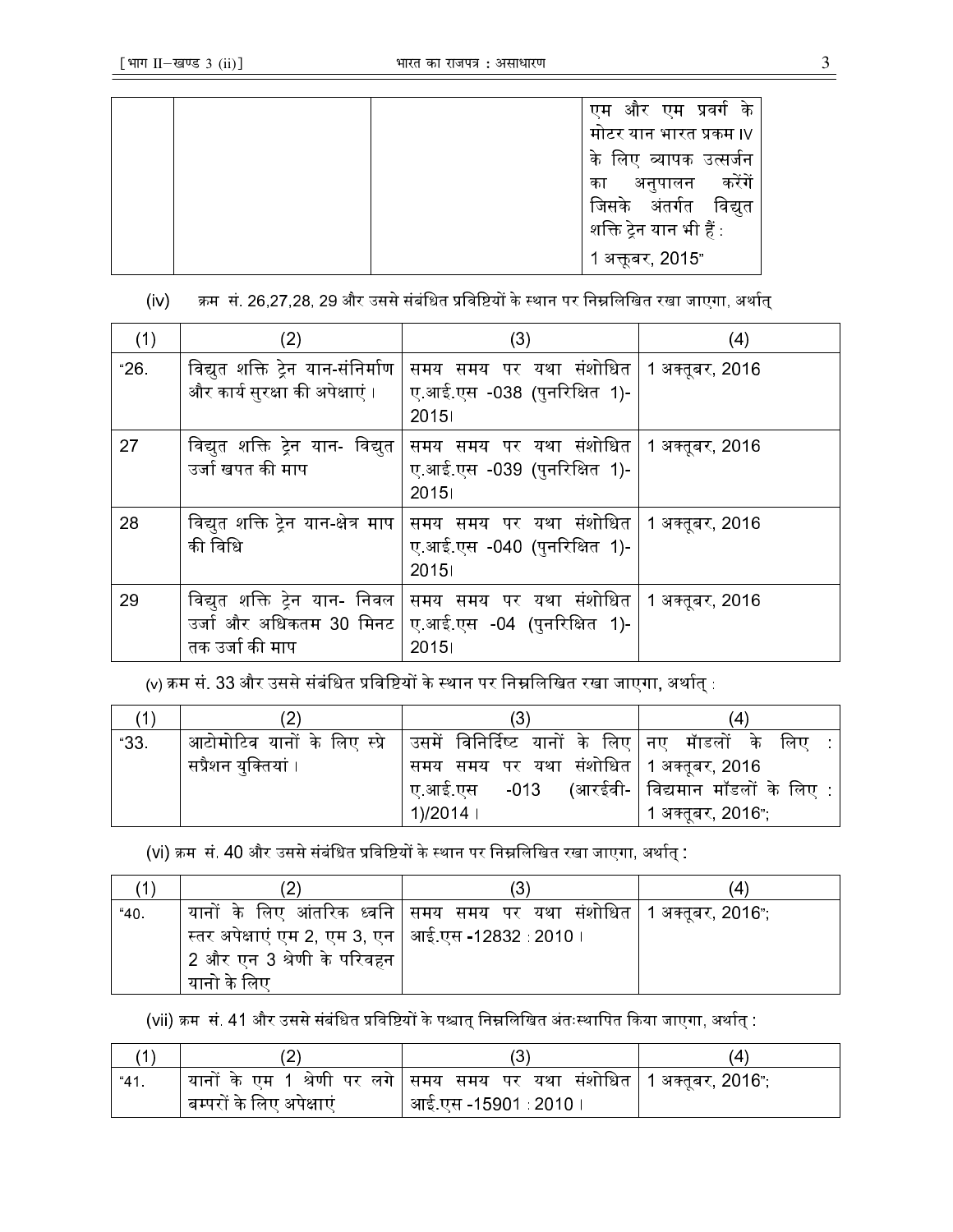|  | और एम प्रवर्ग के<br>एम       |
|--|------------------------------|
|  | मोटर यान भारत प्रकम ।∨       |
|  | व्यापक उत्सर्जन<br>लिए<br>के |
|  | करेंगें<br>अनुपालन<br>का     |
|  | जिसके अंतर्गत विद्युत        |
|  | शक्ति ट्रेन यान भी हैं :     |
|  | 1 अक्तूबर, 2015"             |

(iv) क्रम सं. 26.27.28, 29 और उससे संबंधित प्रविष्टियों के स्थान पर निम्नलिखित रखा जाएगा, अर्थात

| (1)            | (2)                                                                             | (3)                                                                              | (4) |
|----------------|---------------------------------------------------------------------------------|----------------------------------------------------------------------------------|-----|
| $^{\circ}26$ . | विद्युत शक्ति ट्रेन यान-संनिर्माण<br>और कार्य सुरक्षा की अपेक्षाएं ।            | समय समय पर यथा संशोधित   1 अक्तूबर, 2016<br>ए आई.एस -038 (पुनरिक्षित 1)-<br>2015 |     |
| 27             | विद्युत शक्ति ट्रेन यान- विद्युत<br>उर्जा खपत की माप                            | समय समय पर यथा संशोधित   1 अक्तूबर, 2016<br>ए आई.एस -039 (पुनरिक्षित 1)-<br>2015 |     |
| 28             | विद्युत शक्ति ट्रेन यान-क्षेत्र माप $\mid$<br>की विधि                           | समय समय पर यथा संशोधित ∣ 1 अक्तूबर, 2016<br>ए आई.एस -040 (पुनरिक्षित 1)-<br>2015 |     |
| 29             | विद्युत शक्ति ट्रेन यान- निवल  <br>उर्जा और अधिकतम 30 मिनट  <br>तक उर्जा की माप | समय समय पर यथा संशोधित   1 अक्तूबर, 2016<br>ए.आई.एस -04 (पुनरिक्षित 1)-<br>2015  |     |

<u>(v) क्रम सं. 33 और उससे संबंधित प्रविष्टियों के स्थान पर निम्नलिखित रखा जाएगा. अर्थात :</u>

| (1)  |                     | (3)                                                                                               | (4)               |
|------|---------------------|---------------------------------------------------------------------------------------------------|-------------------|
| "33. |                     | आटोमोटिव यानों के लिए स्प्रे $\mid$ उसमें विनिर्दिष्ट यानों के लिए $\mid$ नए  मॅाडलों  के  लिए  : |                   |
|      | सप्रैशन युक्तियां । | समय समय पर यथा संशोधित   1 अक्तूबर, 2016                                                          |                   |
|      |                     | $\mid$ ए.आई.एस -013 (आरईवी- $\mid$ विद्यमान मॉडलों के लिए :                                       |                   |
|      |                     | $^{\prime}$ 1)/2014 ।                                                                             | 1 अक्तूबर, 2016"; |

(vi) क्रम सं. 40 और उससे संबंधित प्रविष्टियों के स्थान पर निम्नलिखित रखा जाएगा. अर्थात :

|      |                                                        |                                                                           | (4 |
|------|--------------------------------------------------------|---------------------------------------------------------------------------|----|
| "40. |                                                        | यानों के लिए आंतरिक ध्वनि $ $ समय समय पर यथा संशोधित $ 1$ अक्तूबर, 2016"; |    |
|      | ंस्तर अपेक्षाएं एम 2, एम 3, एन ∣ आई एस -12832 : 2010 । |                                                                           |    |
|      | 2 और एन 3 श्रेणी के परिवहन                             |                                                                           |    |
|      | यानो के लिए                                            |                                                                           |    |

(vii) क्रम सं. 41 और उससे संबंधित प्रविष्टियों के पश्चात निम्नलिखित अंतःस्थापित किया जाएगा. अर्थात :

| "41" |                          | यानों के एम 1 श्रेणी पर लगे सिमय समय पर यथा संशोधित 1 अक्तूबर, 2016"; |  |
|------|--------------------------|-----------------------------------------------------------------------|--|
|      | बम्परों के लिए अपेक्षाएं | आई.एस -15901 : 2010 ।                                                 |  |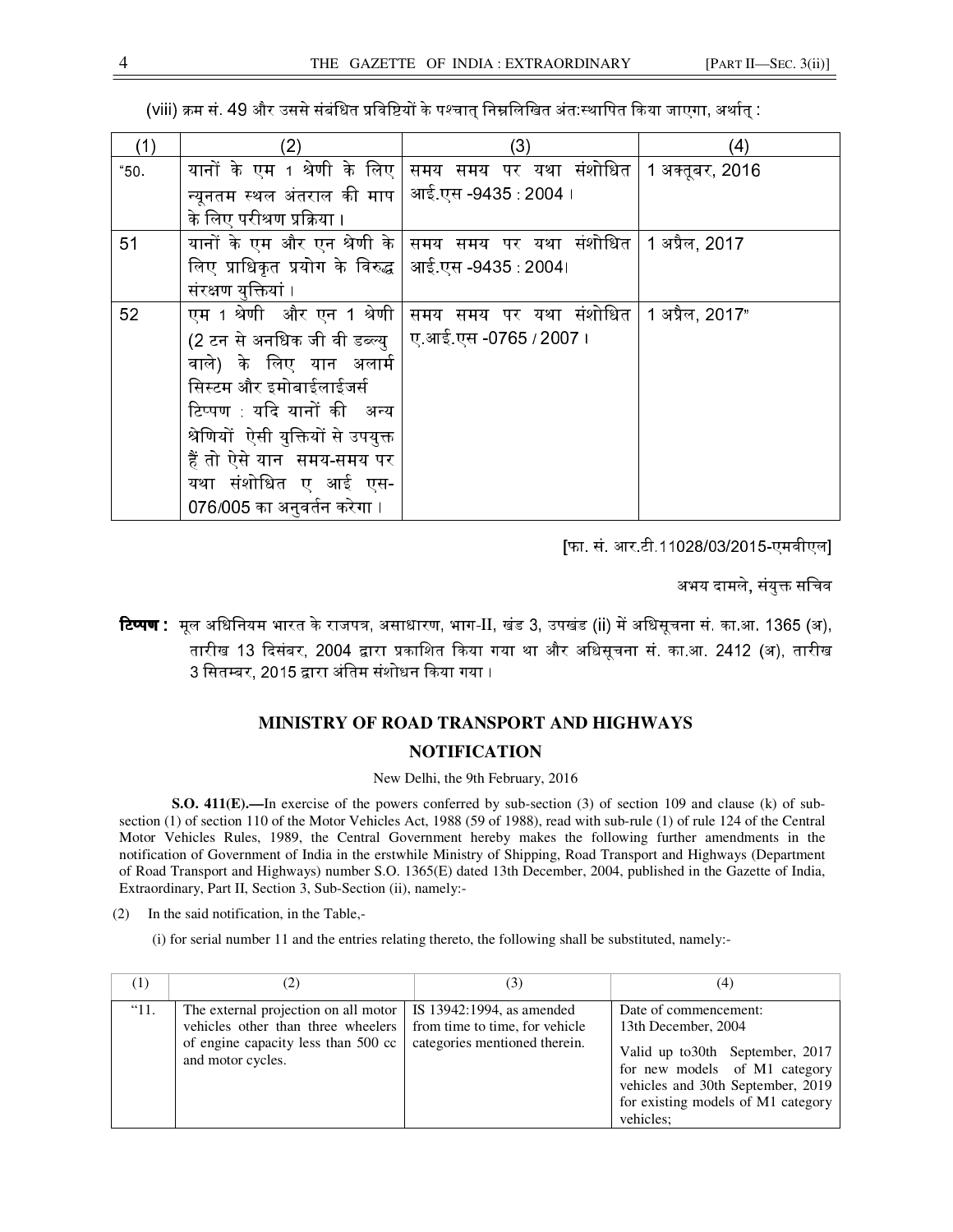| (viii) क्रम सं. 49 और उससे संबंधित प्रविष्टियों के पश्चात् निम्नलिखित अंत स्थापित किया जाएगा, अर्थात् : |  |  |
|---------------------------------------------------------------------------------------------------------|--|--|
|---------------------------------------------------------------------------------------------------------|--|--|

| (1)  | (2)                                                 | (3)                                     | (4)             |
|------|-----------------------------------------------------|-----------------------------------------|-----------------|
| "50. | यानों के एम 1 श्रेणी के लिए                         | समय समय पर यथा संशोधित                  | 1 अक्तूबर, 2016 |
|      | न्यूनतम स्थल अंतराल की माप $\,$ $\,$                | आई.एस -9435 :2004 ।                     |                 |
|      | के लिए परीश्रण प्रक्रिया ।                          |                                         |                 |
| 51   | यानों के एम और एन श्रेणी के $\mid$                  | <sup> </sup> समय  समय  पर  यथा  संशोधित | 1 अप्रैल, 2017  |
|      | लिए प्राधिकृत प्रयोग के विरुद्ध  आई.एस -9435 :2004। |                                         |                 |
|      | संरक्षण युक्तियां ।                                 |                                         |                 |
| 52   | एम 1 श्रेणी और एन 1 श्रेणी                          | समय पर यथा संशोधित<br>समय               | 1 अप्रैल, 2017" |
|      | (2 टन से अनधिक जी वी डब्ल्यु                        | ए.आई.एस -0765 / 2007 ।                  |                 |
|      | वाले) के लिए यान अलार्म                             |                                         |                 |
|      | सिस्टम और इमोबाईलाईजर्स                             |                                         |                 |
|      | टिप्पण यदि यानों की अन्य                            |                                         |                 |
|      | श्रेणियों ऐसी युक्तियों से उपयुक्त                  |                                         |                 |
|      | हैं तो ऐसे यान समय-समय पर                           |                                         |                 |
|      | यथा संशोधित ए आई एस-                                |                                         |                 |
|      | 076/005 का अनुवर्तन करेगा ।                         |                                         |                 |

[फा. सं. आर.टी.11028/03/2015-एमवीएल]

अभय दामले, संयुक्त सचिव

**टिप्पण :** मूल अधिनियम भारत के राजपत्र, असाधारण, भाग-II, खंड 3, उपखंड (ii) में अधिसूचना सं. का.आ. 1365 (अ), तारीख 13 दिसंबर, 2004 द्वारा प्रकाशित किया गया था और अधिसूचना सं. का.आ. 2412 (अ), तारीख 3 सितम्बर, 2015 द्वारा अंतिम संशोधन किया गया ।

# **MINISTRY OF ROAD TRANSPORT AND HIGHWAYS NOTIFICATION**

#### New Delhi, the 9th February, 2016

**S.O. 411(E).**—In exercise of the powers conferred by sub-section (3) of section 109 and clause (k) of subsection (1) of section 110 of the Motor Vehicles Act, 1988 (59 of 1988), read with sub-rule (1) of rule 124 of the Central Motor Vehicles Rules, 1989, the Central Government hereby makes the following further amendments in the notification of Government of India in the erstwhile Ministry of Shipping, Road Transport and Highways (Department of Road Transport and Highways) number S.O. 1365(E) dated 13th December, 2004, published in the Gazette of India, Extraordinary, Part II, Section 3, Sub-Section (ii), namely:-

(2) In the said notification, in the Table,-

(i) for serial number 11 and the entries relating thereto, the following shall be substituted, namely:-

| (1)           | (2)                                                                                                                                    | (3)                                                                                          | (4)                                                                                                                                                                                                       |
|---------------|----------------------------------------------------------------------------------------------------------------------------------------|----------------------------------------------------------------------------------------------|-----------------------------------------------------------------------------------------------------------------------------------------------------------------------------------------------------------|
| $^{\circ}11.$ | The external projection on all motor<br>vehicles other than three wheelers<br>of engine capacity less than 500 cc<br>and motor cycles. | IS 13942:1994, as amended<br>from time to time, for vehicle<br>categories mentioned therein. | Date of commencement:<br>13th December, 2004<br>Valid up to 30th September, 2017<br>for new models of M1 category<br>vehicles and 30th September, 2019<br>for existing models of M1 category<br>vehicles: |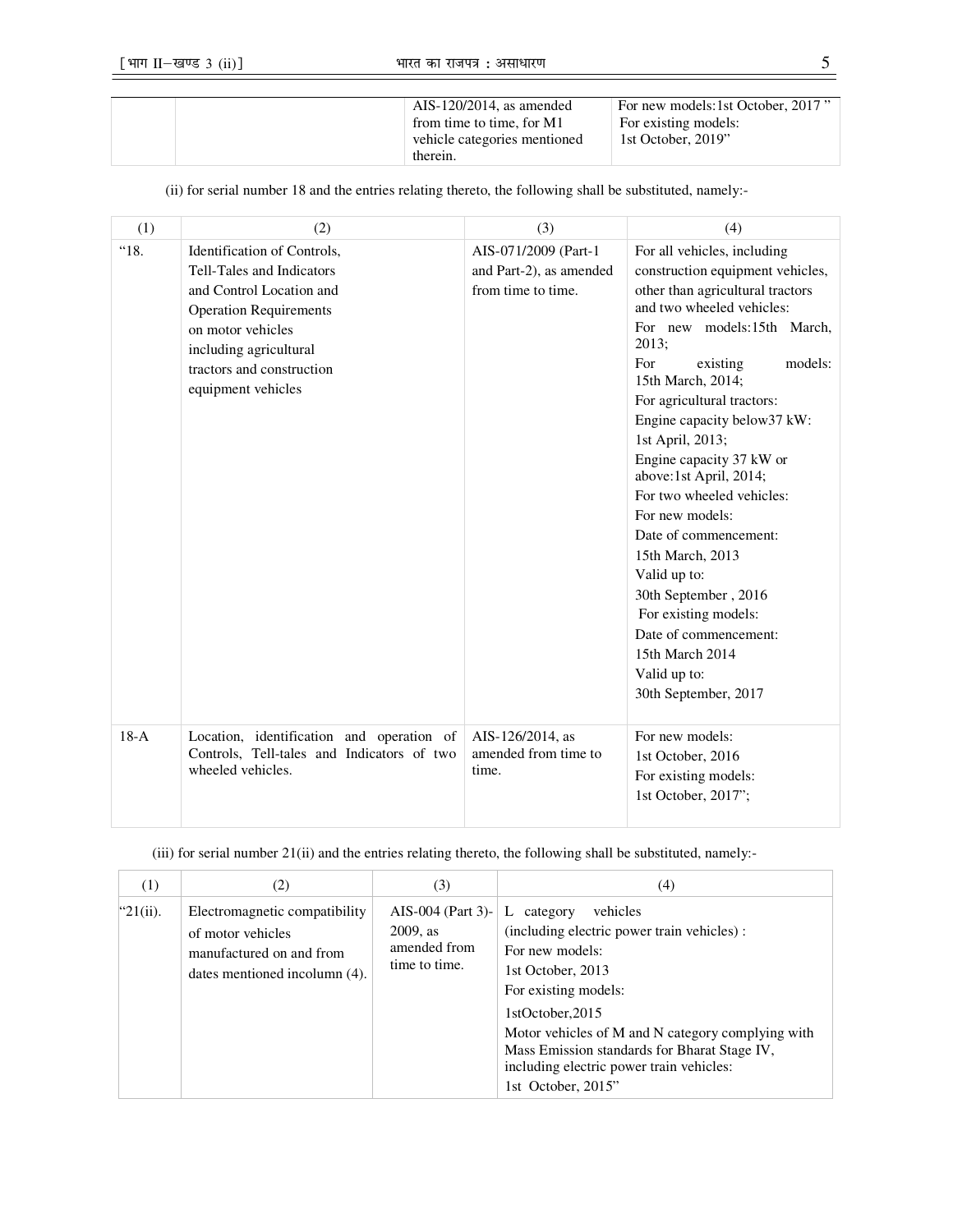| $AIS-120/2014$ , as amended  | For new models:1st October, 2017" |
|------------------------------|-----------------------------------|
| from time to time, for M1    | For existing models:              |
| vehicle categories mentioned | 1st October, 2019"                |
| therein.                     |                                   |

(ii) for serial number 18 and the entries relating thereto, the following shall be substituted, namely:-

| (1)    | (2)                                                                                                                                                                                                                            | (3)                                                                   | (4)                                                                                                                                                                                                                                                                                                                                                                                                                                                                                                                                                                                                                |
|--------|--------------------------------------------------------------------------------------------------------------------------------------------------------------------------------------------------------------------------------|-----------------------------------------------------------------------|--------------------------------------------------------------------------------------------------------------------------------------------------------------------------------------------------------------------------------------------------------------------------------------------------------------------------------------------------------------------------------------------------------------------------------------------------------------------------------------------------------------------------------------------------------------------------------------------------------------------|
| "18.   | Identification of Controls,<br><b>Tell-Tales and Indicators</b><br>and Control Location and<br><b>Operation Requirements</b><br>on motor vehicles<br>including agricultural<br>tractors and construction<br>equipment vehicles | AIS-071/2009 (Part-1<br>and Part-2), as amended<br>from time to time. | For all vehicles, including<br>construction equipment vehicles,<br>other than agricultural tractors<br>and two wheeled vehicles:<br>For new models:15th March,<br>2013;<br>models:<br>existing<br>For<br>15th March, 2014;<br>For agricultural tractors:<br>Engine capacity below37 kW:<br>1st April, 2013;<br>Engine capacity 37 kW or<br>above:1st April, 2014;<br>For two wheeled vehicles:<br>For new models:<br>Date of commencement:<br>15th March, 2013<br>Valid up to:<br>30th September, 2016<br>For existing models:<br>Date of commencement:<br>15th March 2014<br>Valid up to:<br>30th September, 2017 |
| $18-A$ | Location, identification and operation of<br>Controls, Tell-tales and Indicators of two<br>wheeled vehicles.                                                                                                                   | AIS-126/2014, as<br>amended from time to<br>time.                     | For new models:<br>1st October, 2016<br>For existing models:<br>1st October, 2017";                                                                                                                                                                                                                                                                                                                                                                                                                                                                                                                                |

(iii) for serial number 21(ii) and the entries relating thereto, the following shall be substituted, namely:-

| (1)          | (2)                                                                                                             | (3)                                                               | (4)                                                                                                                                                                                                                                                                                                                                 |
|--------------|-----------------------------------------------------------------------------------------------------------------|-------------------------------------------------------------------|-------------------------------------------------------------------------------------------------------------------------------------------------------------------------------------------------------------------------------------------------------------------------------------------------------------------------------------|
| " $21(ii)$ . | Electromagnetic compatibility<br>of motor vehicles<br>manufactured on and from<br>dates mentioned incolumn (4). | AIS-004 (Part 3)-<br>$2009$ , as<br>amended from<br>time to time. | vehicles<br>L<br>category<br>(including electric power train vehicles) :<br>For new models:<br>1st October, 2013<br>For existing models:<br>1stOctober, 2015<br>Motor vehicles of M and N category complying with<br>Mass Emission standards for Bharat Stage IV,<br>including electric power train vehicles:<br>1st October, 2015" |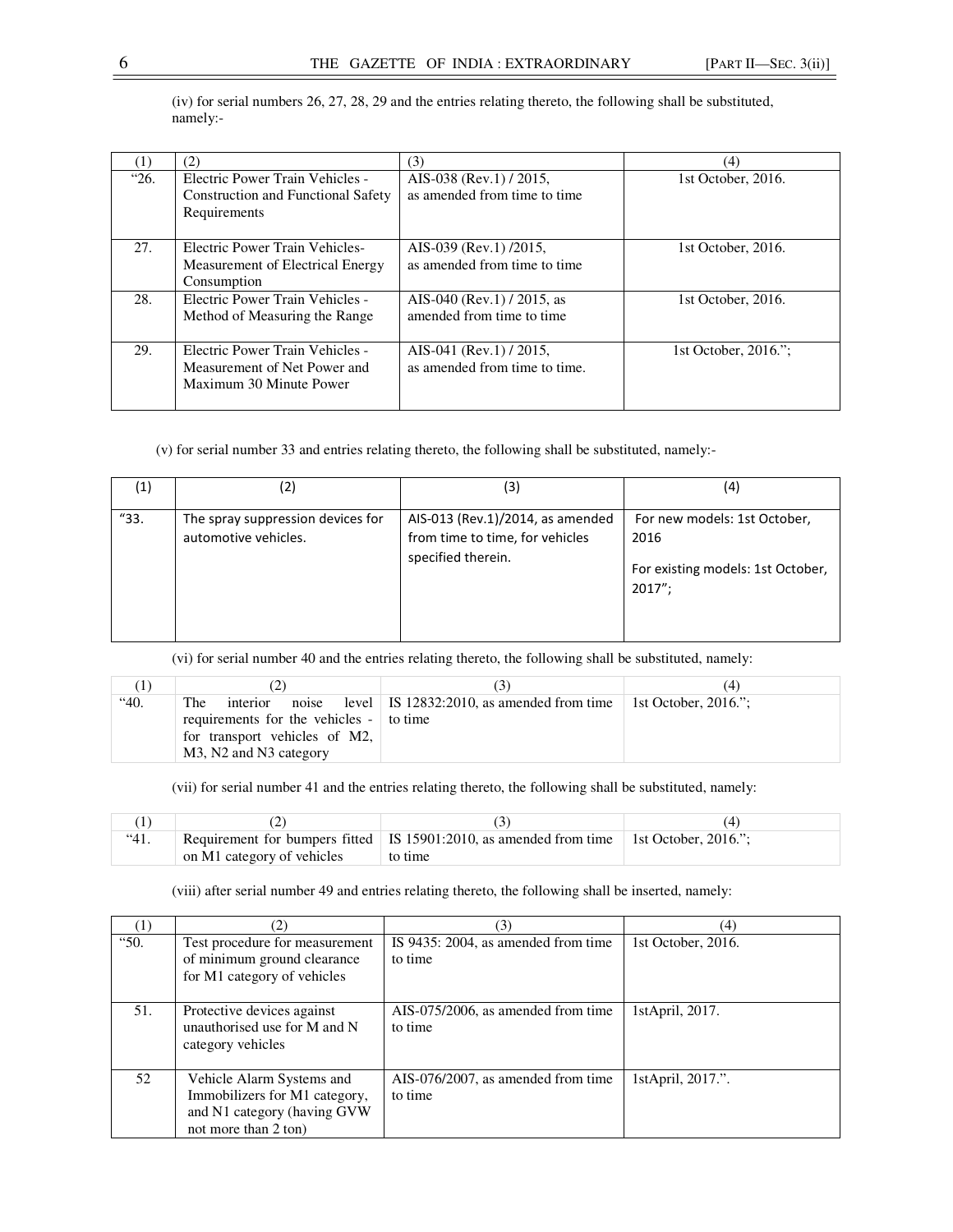|      | (2)                                                                                          | (3)                                                      | (4)                  |
|------|----------------------------------------------------------------------------------------------|----------------------------------------------------------|----------------------|
| "26. | Electric Power Train Vehicles -<br><b>Construction and Functional Safety</b><br>Requirements | AIS-038 (Rev.1) / 2015,<br>as amended from time to time  | 1st October, 2016.   |
| 27.  | <b>Electric Power Train Vehicles-</b><br>Measurement of Electrical Energy<br>Consumption     | AIS-039 (Rev.1) /2015,<br>as amended from time to time   | 1st October, 2016.   |
| 28.  | Electric Power Train Vehicles -<br>Method of Measuring the Range                             | AIS-040 (Rev.1) / 2015, as<br>amended from time to time  | 1st October, 2016.   |
| 29.  | Electric Power Train Vehicles -<br>Measurement of Net Power and<br>Maximum 30 Minute Power   | AIS-041 (Rev.1) / 2015,<br>as amended from time to time. | 1st October, 2016.": |

(iv) for serial numbers 26, 27, 28, 29 and the entries relating thereto, the following shall be substituted, namely:-

(v) for serial number 33 and entries relating thereto, the following shall be substituted, namely:-

| (1)  | 2)                                                        | (3)                                                                                       | (4)                                                                                 |
|------|-----------------------------------------------------------|-------------------------------------------------------------------------------------------|-------------------------------------------------------------------------------------|
| "33. | The spray suppression devices for<br>automotive vehicles. | AIS-013 (Rev.1)/2014, as amended<br>from time to time, for vehicles<br>specified therein. | For new models: 1st October,<br>2016<br>For existing models: 1st October,<br>2017": |

(vi) for serial number 40 and the entries relating thereto, the following shall be substituted, namely:

| Ш    |                                                                                                                              | ا ث                                                                   | (4) |
|------|------------------------------------------------------------------------------------------------------------------------------|-----------------------------------------------------------------------|-----|
| "40. | <b>The</b><br>interior<br>requirements for the vehicles - to time<br>for transport vehicles of M2,<br>M3, N2 and N3 category | noise level IS 12832:2010, as amended from time 1 st October, 2016."; |     |

(vii) for serial number 41 and the entries relating thereto, the following shall be substituted, namely:

| "41. |                            | Requirement for bumpers fitted IS 15901:2010, as amended from time 1st October, 2016."; |  |
|------|----------------------------|-----------------------------------------------------------------------------------------|--|
|      | on M1 category of vehicles | to time                                                                                 |  |

(viii) after serial number 49 and entries relating thereto, the following shall be inserted, namely:

|      | $\left( 2\right)$                                                                                                  | (3)                                            | (4)                |
|------|--------------------------------------------------------------------------------------------------------------------|------------------------------------------------|--------------------|
| "50. | Test procedure for measurement<br>of minimum ground clearance<br>for M1 category of vehicles                       | IS 9435: 2004, as amended from time<br>to time | 1st October, 2016. |
| 51.  | Protective devices against<br>unauthorised use for M and N<br>category vehicles                                    | AIS-075/2006, as amended from time<br>to time  | 1stApril, 2017.    |
| 52   | Vehicle Alarm Systems and<br>Immobilizers for M1 category,<br>and N1 category (having GVW)<br>not more than 2 ton) | AIS-076/2007, as amended from time<br>to time  | 1stApril, 2017.".  |